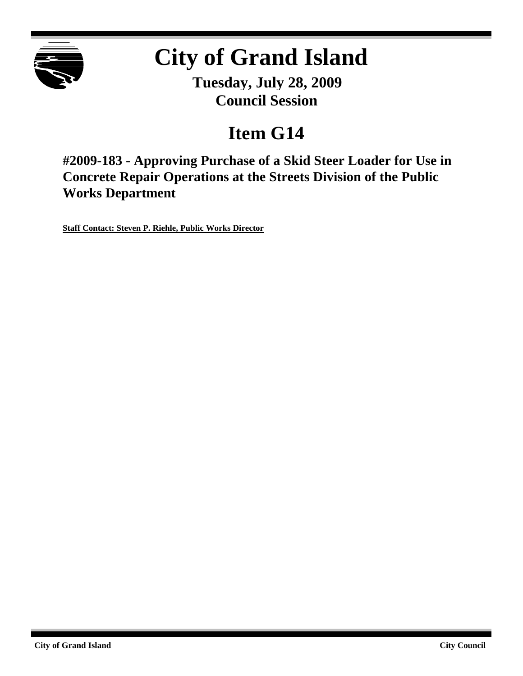

# **City of Grand Island**

**Tuesday, July 28, 2009 Council Session**

## **Item G14**

**#2009-183 - Approving Purchase of a Skid Steer Loader for Use in Concrete Repair Operations at the Streets Division of the Public Works Department**

**Staff Contact: Steven P. Riehle, Public Works Director**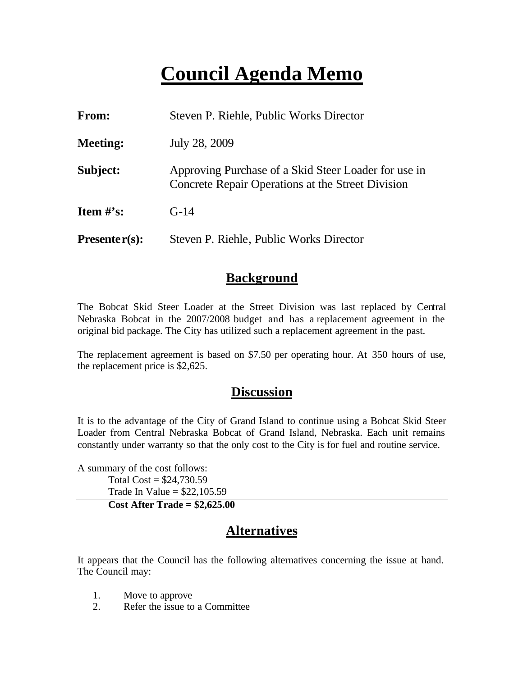### **Council Agenda Memo**

| <b>From:</b>    | Steven P. Riehle, Public Works Director                                                                   |  |
|-----------------|-----------------------------------------------------------------------------------------------------------|--|
| <b>Meeting:</b> | July 28, 2009                                                                                             |  |
| Subject:        | Approving Purchase of a Skid Steer Loader for use in<br>Concrete Repair Operations at the Street Division |  |
| Item $\#$ 's:   | $G-14$                                                                                                    |  |
| $Presenter(s):$ | Steven P. Riehle, Public Works Director                                                                   |  |

#### **Background**

The Bobcat Skid Steer Loader at the Street Division was last replaced by Central Nebraska Bobcat in the 2007/2008 budget and has a replacement agreement in the original bid package. The City has utilized such a replacement agreement in the past.

The replacement agreement is based on \$7.50 per operating hour. At 350 hours of use, the replacement price is \$2,625.

#### **Discussion**

It is to the advantage of the City of Grand Island to continue using a Bobcat Skid Steer Loader from Central Nebraska Bobcat of Grand Island, Nebraska. Each unit remains constantly under warranty so that the only cost to the City is for fuel and routine service.

A summary of the cost follows: Total  $Cost = $24,730.59$ Trade In Value =  $$22,105.59$ 

**Cost After Trade = \$2,625.00**

#### **Alternatives**

It appears that the Council has the following alternatives concerning the issue at hand. The Council may:

- 1. Move to approve
- 2. Refer the issue to a Committee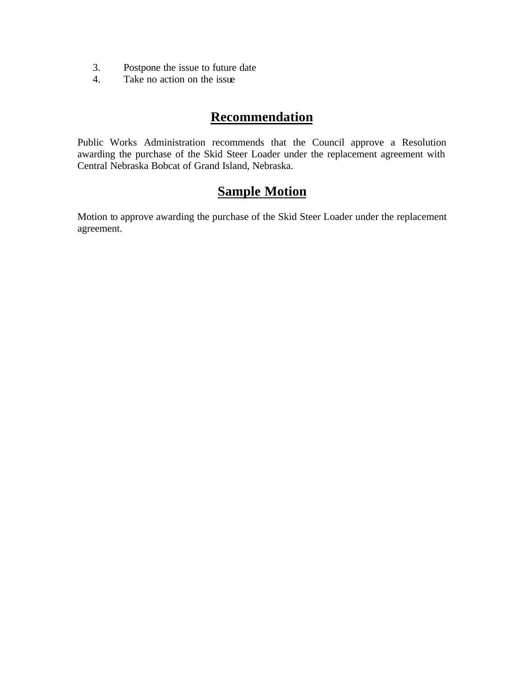- 3. Postpone the issue to future date
- 4. Take no action on the issue

### **Recommendation**

Public Works Administration recommends that the Council approve a Resolution awarding the purchase of the Skid Steer Loader under the replacement agreement with Central Nebraska Bobcat of Grand Island, Nebraska.

### **Sample Motion**

Motion to approve awarding the purchase of the Skid Steer Loader under the replacement agreement.